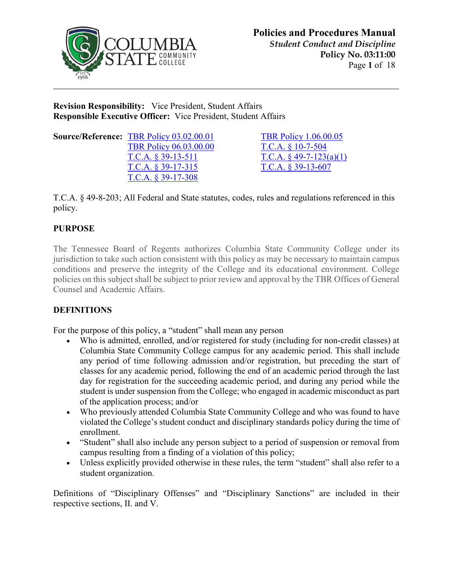

**Revision Responsibility:** Vice President, Student Affairs **Responsible Executive Officer:** Vice President, Student Affairs

| <b>Source/Reference: TBR Policy 03.02.00.01</b> | <b>TBR Policy 1.06.00.05</b>        |
|-------------------------------------------------|-------------------------------------|
| <b>TBR Policy 06.03.00.00</b>                   | T.C.A. $§$ 10-7-504                 |
| T.C.A. $\S$ 39-13-511                           | T.C.A. $\frac{6}{9}$ 49-7-123(a)(1) |
| $T.C.A. \$ 39-17-315                            | T.C.A. $§$ 39-13-607                |
| $T.C.A. § 39-17-308$                            |                                     |

T.C.A.  $§$  10-7-504 T.C.A.  $§$  49-7-123(a)(1) T.C.A.  $§$  39-13-607

T.C.A. § 49-8-203; All Federal and State statutes, codes, rules and regulations referenced in this policy.

## **PURPOSE**

The Tennessee Board of Regents authorizes Columbia State Community College under its jurisdiction to take such action consistent with this policy as may be necessary to maintain campus conditions and preserve the integrity of the College and its educational environment. College policies on this subject shall be subject to prior review and approval by the TBR Offices of General Counsel and Academic Affairs.

## **DEFINITIONS**

For the purpose of this policy, a "student" shall mean any person

- Who is admitted, enrolled, and/or registered for study (including for non-credit classes) at Columbia State Community College campus for any academic period. This shall include any period of time following admission and/or registration, but preceding the start of classes for any academic period, following the end of an academic period through the last day for registration for the succeeding academic period, and during any period while the student is under suspension from the College; who engaged in academic misconduct as part of the application process; and/or
- Who previously attended Columbia State Community College and who was found to have violated the College's student conduct and disciplinary standards policy during the time of enrollment.
- "Student" shall also include any person subject to a period of suspension or removal from campus resulting from a finding of a violation of this policy;
- Unless explicitly provided otherwise in these rules, the term "student" shall also refer to a student organization.

Definitions of "Disciplinary Offenses" and "Disciplinary Sanctions" are included in their respective sections, II. and V.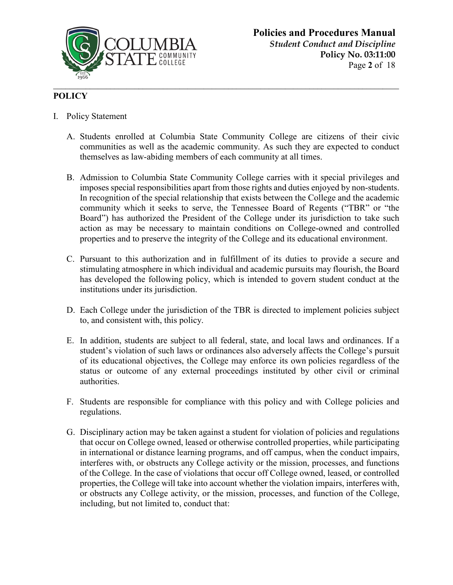

## **POLICY**

- I. Policy Statement
	- A. Students enrolled at Columbia State Community College are citizens of their civic communities as well as the academic community. As such they are expected to conduct themselves as law-abiding members of each community at all times.
	- B. Admission to Columbia State Community College carries with it special privileges and imposes special responsibilities apart from those rights and duties enjoyed by non-students. In recognition of the special relationship that exists between the College and the academic community which it seeks to serve, the Tennessee Board of Regents ("TBR" or "the Board") has authorized the President of the College under its jurisdiction to take such action as may be necessary to maintain conditions on College-owned and controlled properties and to preserve the integrity of the College and its educational environment.
	- C. Pursuant to this authorization and in fulfillment of its duties to provide a secure and stimulating atmosphere in which individual and academic pursuits may flourish, the Board has developed the following policy, which is intended to govern student conduct at the institutions under its jurisdiction.
	- D. Each College under the jurisdiction of the TBR is directed to implement policies subject to, and consistent with, this policy.
	- E. In addition, students are subject to all federal, state, and local laws and ordinances. If a student's violation of such laws or ordinances also adversely affects the College's pursuit of its educational objectives, the College may enforce its own policies regardless of the status or outcome of any external proceedings instituted by other civil or criminal authorities.
	- F. Students are responsible for compliance with this policy and with College policies and regulations.
	- G. Disciplinary action may be taken against a student for violation of policies and regulations that occur on College owned, leased or otherwise controlled properties, while participating in international or distance learning programs, and off campus, when the conduct impairs, interferes with, or obstructs any College activity or the mission, processes, and functions of the College. In the case of violations that occur off College owned, leased, or controlled properties, the College will take into account whether the violation impairs, interferes with, or obstructs any College activity, or the mission, processes, and function of the College, including, but not limited to, conduct that: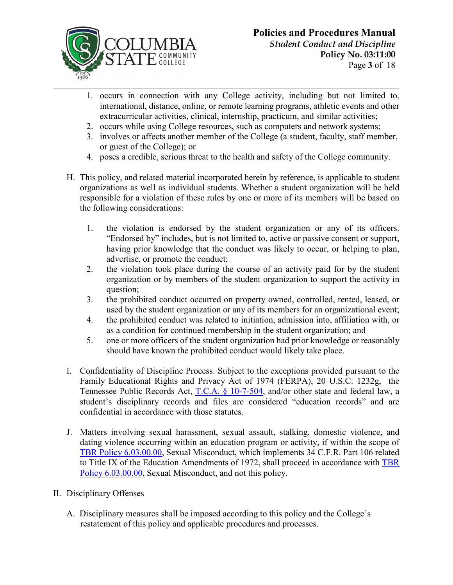

- 1. occurs in connection with any College activity, including but not limited to, international, distance, online, or remote learning programs, athletic events and other extracurricular activities, clinical, internship, practicum, and similar activities;
- 2. occurs while using College resources, such as computers and network systems;
- 3. involves or affects another member of the College (a student, faculty, staff member, or guest of the College); or
- 4. poses a credible, serious threat to the health and safety of the College community.
- H. This policy, and related material incorporated herein by reference, is applicable to student organizations as well as individual students. Whether a student organization will be held responsible for a violation of these rules by one or more of its members will be based on the following considerations:
	- 1. the violation is endorsed by the student organization or any of its officers. "Endorsed by" includes, but is not limited to, active or passive consent or support, having prior knowledge that the conduct was likely to occur, or helping to plan, advertise, or promote the conduct;
	- 2. the violation took place during the course of an activity paid for by the student organization or by members of the student organization to support the activity in question;
	- 3. the prohibited conduct occurred on property owned, controlled, rented, leased, or used by the student organization or any of its members for an organizational event;
	- 4. the prohibited conduct was related to initiation, admission into, affiliation with, or as a condition for continued membership in the student organization; and
	- 5. one or more officers of the student organization had prior knowledge or reasonably should have known the prohibited conduct would likely take place.
- I. Confidentiality of Discipline Process. Subject to the exceptions provided pursuant to the Family Educational Rights and Privacy Act of 1974 (FERPA), 20 U.S.C. 1232g, the Tennessee Public Records Act, [T.C.A. § 10-7-504,](https://codes.findlaw.com/tn/title-10-public-libraries-archives-and-records/tn-code-sect-10-7-504.html) and/or other state and federal law, a student's disciplinary records and files are considered "education records" and are confidential in accordance with those statutes.
- J. Matters involving sexual harassment, sexual assault, stalking, domestic violence, and dating violence occurring within an education program or activity, if within the scope of [TBR Policy 6.03.00.00,](https://policies.tbr.edu/policies/sexual-misconduct) Sexual Misconduct, which implements 34 C.F.R. Part 106 related to Title IX of the Education Amendments of 1972, shall proceed in accordance with [TBR](https://policies.tbr.edu/policies/sexual-misconduct)  [Policy 6.03.00.00,](https://policies.tbr.edu/policies/sexual-misconduct) Sexual Misconduct, and not this policy.
- II. Disciplinary Offenses
	- A. Disciplinary measures shall be imposed according to this policy and the College's restatement of this policy and applicable procedures and processes.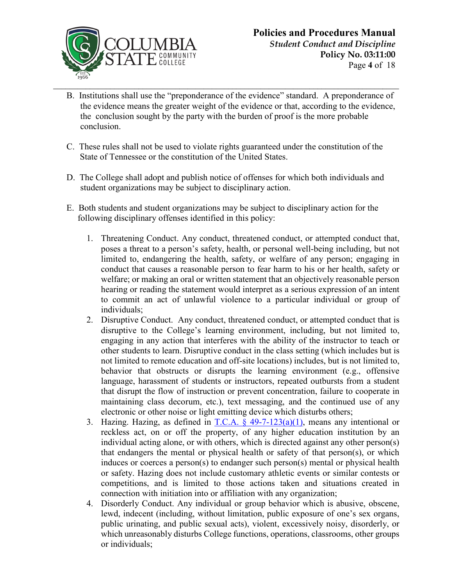

- B. Institutions shall use the "preponderance of the evidence" standard. A preponderance of the evidence means the greater weight of the evidence or that, according to the evidence, the conclusion sought by the party with the burden of proof is the more probable conclusion.
- C. These rules shall not be used to violate rights guaranteed under the constitution of the State of Tennessee or the constitution of the United States.
- D. The College shall adopt and publish notice of offenses for which both individuals and student organizations may be subject to disciplinary action.
- E. Both students and student organizations may be subject to disciplinary action for the following disciplinary offenses identified in this policy:
	- 1. Threatening Conduct. Any conduct, threatened conduct, or attempted conduct that, poses a threat to a person's safety, health, or personal well-being including, but not limited to, endangering the health, safety, or welfare of any person; engaging in conduct that causes a reasonable person to fear harm to his or her health, safety or welfare; or making an oral or written statement that an objectively reasonable person hearing or reading the statement would interpret as a serious expression of an intent to commit an act of unlawful violence to a particular individual or group of individuals;
	- 2. Disruptive Conduct. Any conduct, threatened conduct, or attempted conduct that is disruptive to the College's learning environment, including, but not limited to, engaging in any action that interferes with the ability of the instructor to teach or other students to learn. Disruptive conduct in the class setting (which includes but is not limited to remote education and off-site locations) includes, but is not limited to, behavior that obstructs or disrupts the learning environment (e.g., offensive language, harassment of students or instructors, repeated outbursts from a student that disrupt the flow of instruction or prevent concentration, failure to cooperate in maintaining class decorum, etc.), text messaging, and the continued use of any electronic or other noise or light emitting device which disturbs others;
	- 3. Hazing. Hazing, as defined in  $T.C.A. \S$  49-7-123(a)(1), means any intentional or reckless act, on or off the property, of any higher education institution by an individual acting alone, or with others, which is directed against any other person(s) that endangers the mental or physical health or safety of that person(s), or which induces or coerces a person(s) to endanger such person(s) mental or physical health or safety. Hazing does not include customary athletic events or similar contests or competitions, and is limited to those actions taken and situations created in connection with initiation into or affiliation with any organization;
	- 4. Disorderly Conduct. Any individual or group behavior which is abusive, obscene, lewd, indecent (including, without limitation, public exposure of one's sex organs, public urinating, and public sexual acts), violent, excessively noisy, disorderly, or which unreasonably disturbs College functions, operations, classrooms, other groups or individuals;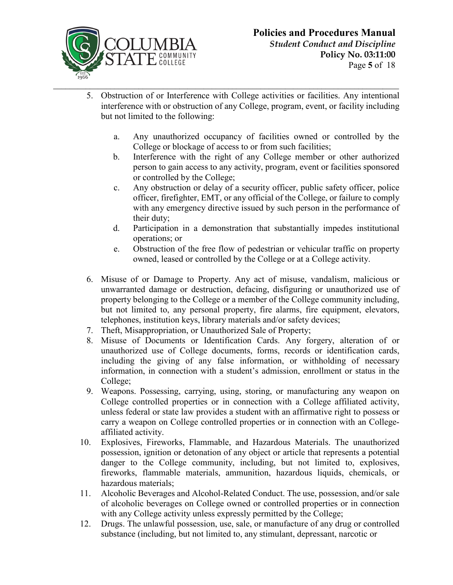

- 5. Obstruction of or Interference with College activities or facilities. Any intentional interference with or obstruction of any College, program, event, or facility including but not limited to the following:
	- a. Any unauthorized occupancy of facilities owned or controlled by the College or blockage of access to or from such facilities;
	- b. Interference with the right of any College member or other authorized person to gain access to any activity, program, event or facilities sponsored or controlled by the College;
	- c. Any obstruction or delay of a security officer, public safety officer, police officer, firefighter, EMT, or any official of the College, or failure to comply with any emergency directive issued by such person in the performance of their duty;
	- d. Participation in a demonstration that substantially impedes institutional operations; or
	- e. Obstruction of the free flow of pedestrian or vehicular traffic on property owned, leased or controlled by the College or at a College activity.
- 6. Misuse of or Damage to Property. Any act of misuse, vandalism, malicious or unwarranted damage or destruction, defacing, disfiguring or unauthorized use of property belonging to the College or a member of the College community including, but not limited to, any personal property, fire alarms, fire equipment, elevators, telephones, institution keys, library materials and/or safety devices;
- 7. Theft, Misappropriation, or Unauthorized Sale of Property;
- 8. Misuse of Documents or Identification Cards. Any forgery, alteration of or unauthorized use of College documents, forms, records or identification cards, including the giving of any false information, or withholding of necessary information, in connection with a student's admission, enrollment or status in the College;
- 9. Weapons. Possessing, carrying, using, storing, or manufacturing any weapon on College controlled properties or in connection with a College affiliated activity, unless federal or state law provides a student with an affirmative right to possess or carry a weapon on College controlled properties or in connection with an Collegeaffiliated activity.
- 10. Explosives, Fireworks, Flammable, and Hazardous Materials. The unauthorized possession, ignition or detonation of any object or article that represents a potential danger to the College community, including, but not limited to, explosives, fireworks, flammable materials, ammunition, hazardous liquids, chemicals, or hazardous materials;
- 11. Alcoholic Beverages and Alcohol-Related Conduct. The use, possession, and/or sale of alcoholic beverages on College owned or controlled properties or in connection with any College activity unless expressly permitted by the College;
- 12. Drugs. The unlawful possession, use, sale, or manufacture of any drug or controlled substance (including, but not limited to, any stimulant, depressant, narcotic or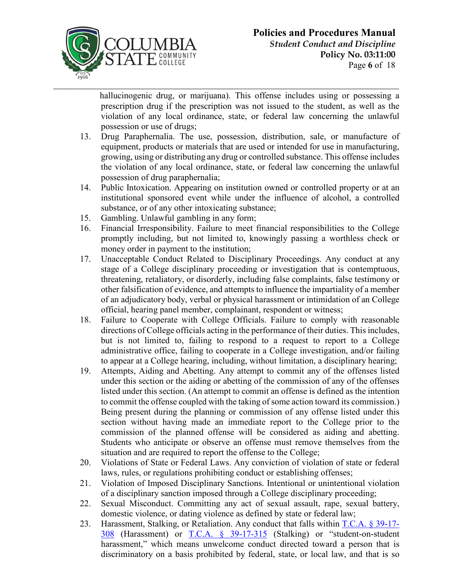

hallucinogenic drug, or marijuana). This offense includes using or possessing a prescription drug if the prescription was not issued to the student, as well as the violation of any local ordinance, state, or federal law concerning the unlawful possession or use of drugs;

- 13. Drug Paraphernalia. The use, possession, distribution, sale, or manufacture of equipment, products or materials that are used or intended for use in manufacturing, growing, using or distributing any drug or controlled substance. This offense includes the violation of any local ordinance, state, or federal law concerning the unlawful possession of drug paraphernalia;
- 14. Public Intoxication. Appearing on institution owned or controlled property or at an institutional sponsored event while under the influence of alcohol, a controlled substance, or of any other intoxicating substance;
- 15. Gambling. Unlawful gambling in any form;
- 16. Financial Irresponsibility. Failure to meet financial responsibilities to the College promptly including, but not limited to, knowingly passing a worthless check or money order in payment to the institution;
- 17. Unacceptable Conduct Related to Disciplinary Proceedings. Any conduct at any stage of a College disciplinary proceeding or investigation that is contemptuous, threatening, retaliatory, or disorderly, including false complaints, false testimony or other falsification of evidence, and attempts to influence the impartiality of a member of an adjudicatory body, verbal or physical harassment or intimidation of an College official, hearing panel member, complainant, respondent or witness;
- 18. Failure to Cooperate with College Officials. Failure to comply with reasonable directions of College officials acting in the performance of their duties. This includes, but is not limited to, failing to respond to a request to report to a College administrative office, failing to cooperate in a College investigation, and/or failing to appear at a College hearing, including, without limitation, a disciplinary hearing;
- 19. Attempts, Aiding and Abetting. Any attempt to commit any of the offenses listed under this section or the aiding or abetting of the commission of any of the offenses listed under this section. (An attempt to commit an offense is defined as the intention to commit the offense coupled with the taking of some action toward its commission.) Being present during the planning or commission of any offense listed under this section without having made an immediate report to the College prior to the commission of the planned offense will be considered as aiding and abetting. Students who anticipate or observe an offense must remove themselves from the situation and are required to report the offense to the College;
- 20. Violations of State or Federal Laws. Any conviction of violation of state or federal laws, rules, or regulations prohibiting conduct or establishing offenses;
- 21. Violation of Imposed Disciplinary Sanctions. Intentional or unintentional violation of a disciplinary sanction imposed through a College disciplinary proceeding;
- 22. Sexual Misconduct. Committing any act of sexual assault, rape, sexual battery, domestic violence, or dating violence as defined by state or federal law;
- 23. Harassment, Stalking, or Retaliation. Any conduct that falls within [T.C.A. § 39-17-](https://codes.findlaw.com/tn/title-39-criminal-offenses/tn-code-sect-39-17-308.html) [308](https://codes.findlaw.com/tn/title-39-criminal-offenses/tn-code-sect-39-17-308.html) (Harassment) or [T.C.A. § 39-17-315](https://codes.findlaw.com/tn/title-39-criminal-offenses/tn-code-sect-39-17-315.html) (Stalking) or "student-on-student harassment," which means unwelcome conduct directed toward a person that is discriminatory on a basis prohibited by federal, state, or local law, and that is so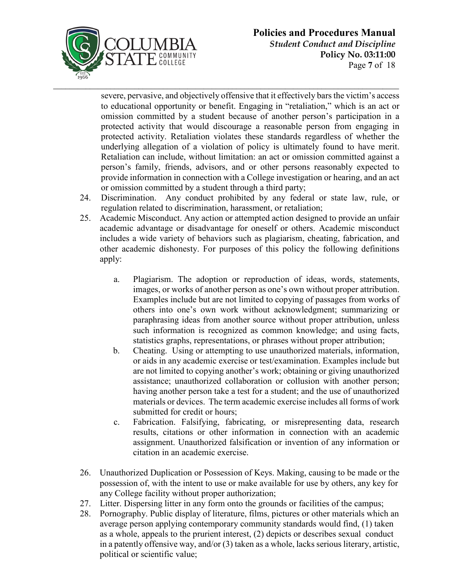

severe, pervasive, and objectively offensive that it effectively bars the victim's access to educational opportunity or benefit. Engaging in "retaliation," which is an act or omission committed by a student because of another person's participation in a protected activity that would discourage a reasonable person from engaging in protected activity. Retaliation violates these standards regardless of whether the underlying allegation of a violation of policy is ultimately found to have merit. Retaliation can include, without limitation: an act or omission committed against a person's family, friends, advisors, and or other persons reasonably expected to provide information in connection with a College investigation or hearing, and an act or omission committed by a student through a third party;

- 24. Discrimination. Any conduct prohibited by any federal or state law, rule, or regulation related to discrimination, harassment, or retaliation;
- 25. Academic Misconduct. Any action or attempted action designed to provide an unfair academic advantage or disadvantage for oneself or others. Academic misconduct includes a wide variety of behaviors such as plagiarism, cheating, fabrication, and other academic dishonesty. For purposes of this policy the following definitions apply:
	- a. Plagiarism. The adoption or reproduction of ideas, words, statements, images, or works of another person as one's own without proper attribution. Examples include but are not limited to copying of passages from works of others into one's own work without acknowledgment; summarizing or paraphrasing ideas from another source without proper attribution, unless such information is recognized as common knowledge; and using facts, statistics graphs, representations, or phrases without proper attribution;
	- b. Cheating. Using or attempting to use unauthorized materials, information, or aids in any academic exercise or test/examination. Examples include but are not limited to copying another's work; obtaining or giving unauthorized assistance; unauthorized collaboration or collusion with another person; having another person take a test for a student; and the use of unauthorized materials or devices. The term academic exercise includes all forms of work submitted for credit or hours;
	- c. Fabrication. Falsifying, fabricating, or misrepresenting data, research results, citations or other information in connection with an academic assignment. Unauthorized falsification or invention of any information or citation in an academic exercise.
- 26. Unauthorized Duplication or Possession of Keys. Making, causing to be made or the possession of, with the intent to use or make available for use by others, any key for any College facility without proper authorization;
- 27. Litter. Dispersing litter in any form onto the grounds or facilities of the campus;
- 28. Pornography. Public display of literature, films, pictures or other materials which an average person applying contemporary community standards would find, (1) taken as a whole, appeals to the prurient interest, (2) depicts or describes sexual conduct in a patently offensive way, and/or (3) taken as a whole, lacks serious literary, artistic, political or scientific value;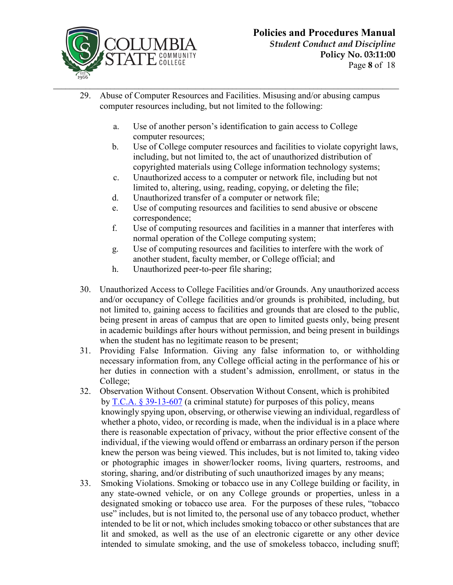

- 29. Abuse of Computer Resources and Facilities. Misusing and/or abusing campus computer resources including, but not limited to the following:
	- a. Use of another person's identification to gain access to College computer resources;
	- b. Use of College computer resources and facilities to violate copyright laws, including, but not limited to, the act of unauthorized distribution of copyrighted materials using College information technology systems;
	- c. Unauthorized access to a computer or network file, including but not limited to, altering, using, reading, copying, or deleting the file;
	- d. Unauthorized transfer of a computer or network file;
	- e. Use of computing resources and facilities to send abusive or obscene correspondence;
	- f. Use of computing resources and facilities in a manner that interferes with normal operation of the College computing system;
	- g. Use of computing resources and facilities to interfere with the work of another student, faculty member, or College official; and
	- h. Unauthorized peer-to-peer file sharing;
- 30. Unauthorized Access to College Facilities and/or Grounds. Any unauthorized access and/or occupancy of College facilities and/or grounds is prohibited, including, but not limited to, gaining access to facilities and grounds that are closed to the public, being present in areas of campus that are open to limited guests only, being present in academic buildings after hours without permission, and being present in buildings when the student has no legitimate reason to be present;
- 31. Providing False Information. Giving any false information to, or withholding necessary information from, any College official acting in the performance of his or her duties in connection with a student's admission, enrollment, or status in the College;
- 32. Observation Without Consent. Observation Without Consent, which is prohibited by [T.C.A. § 39-13-607](https://codes.findlaw.com/tn/title-39-criminal-offenses/tn-code-sect-39-13-607.html) (a criminal statute) for purposes of this policy, means knowingly spying upon, observing, or otherwise viewing an individual, regardless of whether a photo, video, or recording is made, when the individual is in a place where there is reasonable expectation of privacy, without the prior effective consent of the individual, if the viewing would offend or embarrass an ordinary person if the person knew the person was being viewed. This includes, but is not limited to, taking video or photographic images in shower/locker rooms, living quarters, restrooms, and storing, sharing, and/or distributing of such unauthorized images by any means;
- 33. Smoking Violations. Smoking or tobacco use in any College building or facility, in any state-owned vehicle, or on any College grounds or properties, unless in a designated smoking or tobacco use area. For the purposes of these rules, "tobacco use" includes, but is not limited to, the personal use of any tobacco product, whether intended to be lit or not, which includes smoking tobacco or other substances that are lit and smoked, as well as the use of an electronic cigarette or any other device intended to simulate smoking, and the use of smokeless tobacco, including snuff;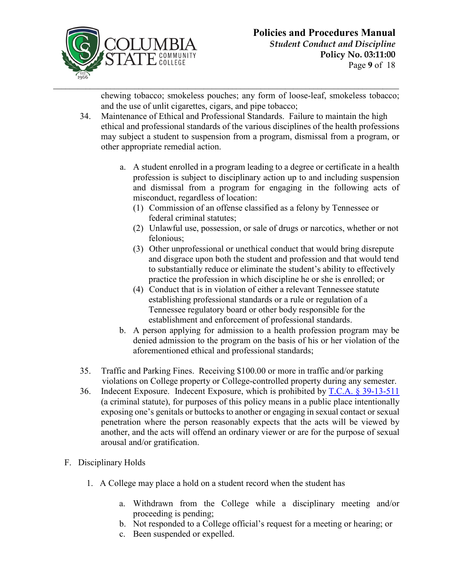

chewing tobacco; smokeless pouches; any form of loose-leaf, smokeless tobacco; and the use of unlit cigarettes, cigars, and pipe tobacco;

- 34. Maintenance of Ethical and Professional Standards. Failure to maintain the high ethical and professional standards of the various disciplines of the health professions may subject a student to suspension from a program, dismissal from a program, or other appropriate remedial action.
	- a. A student enrolled in a program leading to a degree or certificate in a health profession is subject to disciplinary action up to and including suspension and dismissal from a program for engaging in the following acts of misconduct, regardless of location:
		- (1) Commission of an offense classified as a felony by Tennessee or federal criminal statutes;
		- (2) Unlawful use, possession, or sale of drugs or narcotics, whether or not felonious;
		- (3) Other unprofessional or unethical conduct that would bring disrepute and disgrace upon both the student and profession and that would tend to substantially reduce or eliminate the student's ability to effectively practice the profession in which discipline he or she is enrolled; or
		- (4) Conduct that is in violation of either a relevant Tennessee statute establishing professional standards or a rule or regulation of a Tennessee regulatory board or other body responsible for the establishment and enforcement of professional standards.
	- b. A person applying for admission to a health profession program may be denied admission to the program on the basis of his or her violation of the aforementioned ethical and professional standards;
- 35. Traffic and Parking Fines. Receiving \$100.00 or more in traffic and/or parking violations on College property or College-controlled property during any semester.
- 36. Indecent Exposure. Indecent Exposure, which is prohibited by [T.C.A. § 39-13-511](https://codes.findlaw.com/tn/title-39-criminal-offenses/tn-code-sect-39-13-511.html) (a criminal statute), for purposes of this policy means in a public place intentionally exposing one's genitals or buttocks to another or engaging in sexual contact or sexual penetration where the person reasonably expects that the acts will be viewed by another, and the acts will offend an ordinary viewer or are for the purpose of sexual arousal and/or gratification.
- F. Disciplinary Holds
	- 1. A College may place a hold on a student record when the student has
		- a. Withdrawn from the College while a disciplinary meeting and/or proceeding is pending;
		- b. Not responded to a College official's request for a meeting or hearing; or
		- c. Been suspended or expelled.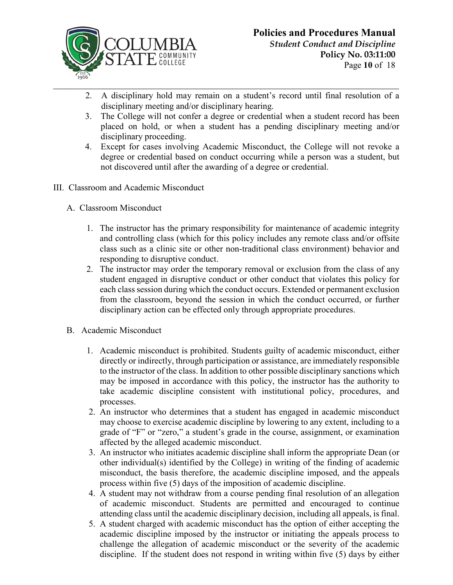

- 2. A disciplinary hold may remain on a student's record until final resolution of a disciplinary meeting and/or disciplinary hearing.
- 3. The College will not confer a degree or credential when a student record has been placed on hold, or when a student has a pending disciplinary meeting and/or disciplinary proceeding.
- 4. Except for cases involving Academic Misconduct, the College will not revoke a degree or credential based on conduct occurring while a person was a student, but not discovered until after the awarding of a degree or credential.
- III. Classroom and Academic Misconduct
	- A. Classroom Misconduct
		- 1. The instructor has the primary responsibility for maintenance of academic integrity and controlling class (which for this policy includes any remote class and/or offsite class such as a clinic site or other non-traditional class environment) behavior and responding to disruptive conduct.
		- 2. The instructor may order the temporary removal or exclusion from the class of any student engaged in disruptive conduct or other conduct that violates this policy for each class session during which the conduct occurs. Extended or permanent exclusion from the classroom, beyond the session in which the conduct occurred, or further disciplinary action can be effected only through appropriate procedures.
	- B. Academic Misconduct
		- 1. Academic misconduct is prohibited. Students guilty of academic misconduct, either directly or indirectly, through participation or assistance, are immediately responsible to the instructor of the class. In addition to other possible disciplinary sanctions which may be imposed in accordance with this policy, the instructor has the authority to take academic discipline consistent with institutional policy, procedures, and processes.
		- 2. An instructor who determines that a student has engaged in academic misconduct may choose to exercise academic discipline by lowering to any extent, including to a grade of "F" or "zero," a student's grade in the course, assignment, or examination affected by the alleged academic misconduct.
		- 3. An instructor who initiates academic discipline shall inform the appropriate Dean (or other individual(s) identified by the College) in writing of the finding of academic misconduct, the basis therefore, the academic discipline imposed, and the appeals process within five (5) days of the imposition of academic discipline.
		- 4. A student may not withdraw from a course pending final resolution of an allegation of academic misconduct. Students are permitted and encouraged to continue attending class until the academic disciplinary decision, including all appeals, is final.
		- 5. A student charged with academic misconduct has the option of either accepting the academic discipline imposed by the instructor or initiating the appeals process to challenge the allegation of academic misconduct or the severity of the academic discipline. If the student does not respond in writing within five (5) days by either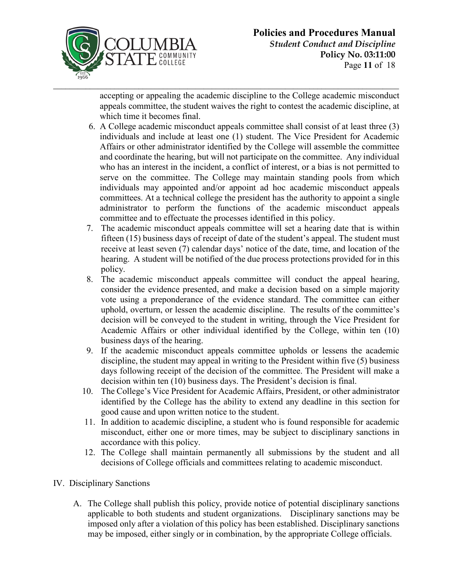

accepting or appealing the academic discipline to the College academic misconduct appeals committee, the student waives the right to contest the academic discipline, at which time it becomes final.

- 6. A College academic misconduct appeals committee shall consist of at least three (3) individuals and include at least one (1) student. The Vice President for Academic Affairs or other administrator identified by the College will assemble the committee and coordinate the hearing, but will not participate on the committee. Any individual who has an interest in the incident, a conflict of interest, or a bias is not permitted to serve on the committee. The College may maintain standing pools from which individuals may appointed and/or appoint ad hoc academic misconduct appeals committees. At a technical college the president has the authority to appoint a single administrator to perform the functions of the academic misconduct appeals committee and to effectuate the processes identified in this policy.
- 7. The academic misconduct appeals committee will set a hearing date that is within fifteen (15) business days of receipt of date of the student's appeal. The student must receive at least seven (7) calendar days' notice of the date, time, and location of the hearing. A student will be notified of the due process protections provided for in this policy.
- 8. The academic misconduct appeals committee will conduct the appeal hearing, consider the evidence presented, and make a decision based on a simple majority vote using a preponderance of the evidence standard. The committee can either uphold, overturn, or lessen the academic discipline. The results of the committee's decision will be conveyed to the student in writing, through the Vice President for Academic Affairs or other individual identified by the College, within ten (10) business days of the hearing.
- 9. If the academic misconduct appeals committee upholds or lessens the academic discipline, the student may appeal in writing to the President within five (5) business days following receipt of the decision of the committee. The President will make a decision within ten (10) business days. The President's decision is final.
- 10. The College's Vice President for Academic Affairs, President, or other administrator identified by the College has the ability to extend any deadline in this section for good cause and upon written notice to the student.
- 11. In addition to academic discipline, a student who is found responsible for academic misconduct, either one or more times, may be subject to disciplinary sanctions in accordance with this policy.
- 12. The College shall maintain permanently all submissions by the student and all decisions of College officials and committees relating to academic misconduct.
- IV. Disciplinary Sanctions
	- A. The College shall publish this policy, provide notice of potential disciplinary sanctions applicable to both students and student organizations. Disciplinary sanctions may be imposed only after a violation of this policy has been established. Disciplinary sanctions may be imposed, either singly or in combination, by the appropriate College officials.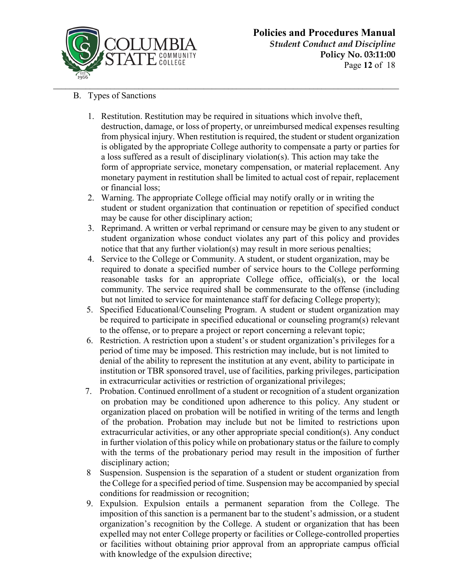

- B. Types of Sanctions
	- 1. Restitution. Restitution may be required in situations which involve theft, destruction, damage, or loss of property, or unreimbursed medical expenses resulting from physical injury. When restitution is required, the student or student organization is obligated by the appropriate College authority to compensate a party or parties for a loss suffered as a result of disciplinary violation(s). This action may take the form of appropriate service, monetary compensation, or material replacement. Any monetary payment in restitution shall be limited to actual cost of repair, replacement or financial loss;
	- 2. Warning. The appropriate College official may notify orally or in writing the student or student organization that continuation or repetition of specified conduct may be cause for other disciplinary action;
	- 3. Reprimand. A written or verbal reprimand or censure may be given to any student or student organization whose conduct violates any part of this policy and provides notice that that any further violation(s) may result in more serious penalties;
	- 4. Service to the College or Community. A student, or student organization, may be required to donate a specified number of service hours to the College performing reasonable tasks for an appropriate College office, official(s), or the local community. The service required shall be commensurate to the offense (including but not limited to service for maintenance staff for defacing College property);
	- 5. Specified Educational/Counseling Program. A student or student organization may be required to participate in specified educational or counseling program(s) relevant to the offense, or to prepare a project or report concerning a relevant topic;
	- 6. Restriction. A restriction upon a student's or student organization's privileges for a period of time may be imposed. This restriction may include, but is not limited to denial of the ability to represent the institution at any event, ability to participate in institution or TBR sponsored travel, use of facilities, parking privileges, participation in extracurricular activities or restriction of organizational privileges;
	- 7. Probation. Continued enrollment of a student or recognition of a student organization on probation may be conditioned upon adherence to this policy. Any student or organization placed on probation will be notified in writing of the terms and length of the probation. Probation may include but not be limited to restrictions upon extracurricular activities, or any other appropriate special condition(s). Any conduct in further violation of this policy while on probationary status or the failure to comply with the terms of the probationary period may result in the imposition of further disciplinary action;
	- 8 Suspension. Suspension is the separation of a student or student organization from the College for a specified period of time. Suspension may be accompanied by special conditions for readmission or recognition;
	- 9. Expulsion. Expulsion entails a permanent separation from the College. The imposition of this sanction is a permanent bar to the student's admission, or a student organization's recognition by the College. A student or organization that has been expelled may not enter College property or facilities or College-controlled properties or facilities without obtaining prior approval from an appropriate campus official with knowledge of the expulsion directive;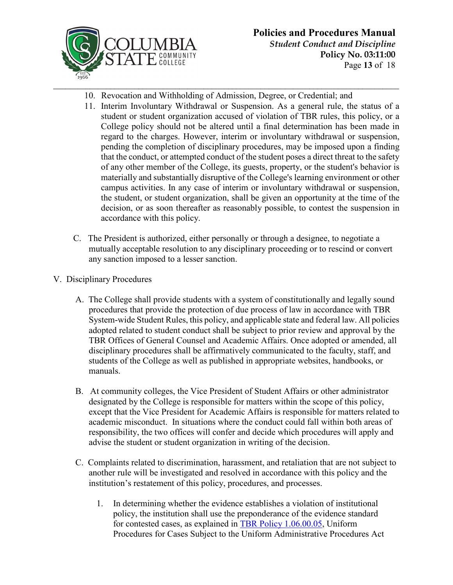

- 10. Revocation and Withholding of Admission, Degree, or Credential; and
- 11. Interim Involuntary Withdrawal or Suspension. As a general rule, the status of a student or student organization accused of violation of TBR rules, this policy, or a College policy should not be altered until a final determination has been made in regard to the charges. However, interim or involuntary withdrawal or suspension, pending the completion of disciplinary procedures, may be imposed upon a finding that the conduct, or attempted conduct of the student poses a direct threat to the safety of any other member of the College, its guests, property, or the student's behavior is materially and substantially disruptive of the College's learning environment or other campus activities. In any case of interim or involuntary withdrawal or suspension, the student, or student organization, shall be given an opportunity at the time of the decision, or as soon thereafter as reasonably possible, to contest the suspension in accordance with this policy.
- C. The President is authorized, either personally or through a designee, to negotiate a mutually acceptable resolution to any disciplinary proceeding or to rescind or convert any sanction imposed to a lesser sanction.
- V. Disciplinary Procedures
	- A. The College shall provide students with a system of constitutionally and legally sound procedures that provide the protection of due process of law in accordance with TBR System-wide Student Rules, this policy, and applicable state and federal law. All policies adopted related to student conduct shall be subject to prior review and approval by the TBR Offices of General Counsel and Academic Affairs. Once adopted or amended, all disciplinary procedures shall be affirmatively communicated to the faculty, staff, and students of the College as well as published in appropriate websites, handbooks, or manuals.
	- B. At community colleges, the Vice President of Student Affairs or other administrator designated by the College is responsible for matters within the scope of this policy, except that the Vice President for Academic Affairs is responsible for matters related to academic misconduct. In situations where the conduct could fall within both areas of responsibility, the two offices will confer and decide which procedures will apply and advise the student or student organization in writing of the decision.
	- C. Complaints related to discrimination, harassment, and retaliation that are not subject to another rule will be investigated and resolved in accordance with this policy and the institution's restatement of this policy, procedures, and processes.
		- 1. In determining whether the evidence establishes a violation of institutional policy, the institution shall use the preponderance of the evidence standard for contested cases, as explained in [TBR Policy 1.06.00.05,](https://policies.tbr.edu/policies/uniform-procedures-cases-subject-uniform-administrative-procedures-act) Uniform Procedures for Cases Subject to the Uniform Administrative Procedures Act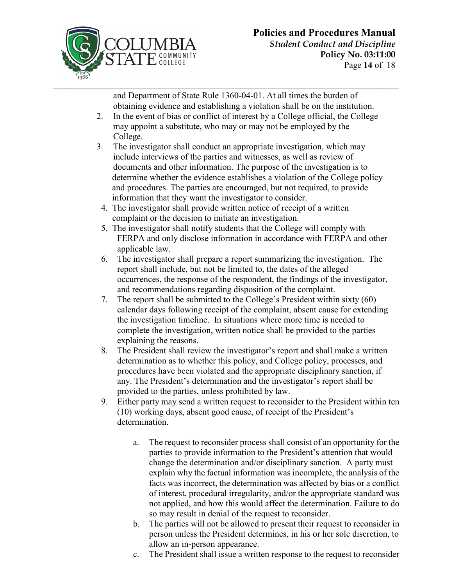

and Department of State Rule 1360-04-01. At all times the burden of obtaining evidence and establishing a violation shall be on the institution.

- 2. In the event of bias or conflict of interest by a College official, the College may appoint a substitute, who may or may not be employed by the College.
- 3. The investigator shall conduct an appropriate investigation, which may include interviews of the parties and witnesses, as well as review of documents and other information. The purpose of the investigation is to determine whether the evidence establishes a violation of the College policy and procedures. The parties are encouraged, but not required, to provide information that they want the investigator to consider.
- 4. The investigator shall provide written notice of receipt of a written complaint or the decision to initiate an investigation.
- 5. The investigator shall notify students that the College will comply with FERPA and only disclose information in accordance with FERPA and other applicable law.
- 6. The investigator shall prepare a report summarizing the investigation. The report shall include, but not be limited to, the dates of the alleged occurrences, the response of the respondent, the findings of the investigator, and recommendations regarding disposition of the complaint.
- 7. The report shall be submitted to the College's President within sixty (60) calendar days following receipt of the complaint, absent cause for extending the investigation timeline. In situations where more time is needed to complete the investigation, written notice shall be provided to the parties explaining the reasons.
- 8. The President shall review the investigator's report and shall make a written determination as to whether this policy, and College policy, processes, and procedures have been violated and the appropriate disciplinary sanction, if any. The President's determination and the investigator's report shall be provided to the parties, unless prohibited by law.
- 9. Either party may send a written request to reconsider to the President within ten (10) working days, absent good cause, of receipt of the President's determination.
	- a. The request to reconsider process shall consist of an opportunity for the parties to provide information to the President's attention that would change the determination and/or disciplinary sanction. A party must explain why the factual information was incomplete, the analysis of the facts was incorrect, the determination was affected by bias or a conflict of interest, procedural irregularity, and/or the appropriate standard was not applied, and how this would affect the determination. Failure to do so may result in denial of the request to reconsider.
	- b. The parties will not be allowed to present their request to reconsider in person unless the President determines, in his or her sole discretion, to allow an in-person appearance.
	- c. The President shall issue a written response to the request to reconsider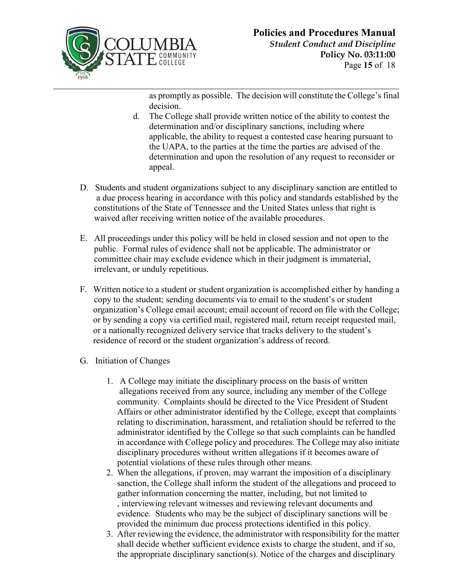

as promptly as possible. The decision will constitute the College's final decision.

- d. The College shall provide written notice of the ability to contest the determination and/or disciplinary sanctions, including where applicable, the ability to request a contested case hearing pursuant to the UAPA, to the parties at the time the parties are advised of the determination and upon the resolution of any request to reconsider or appeal.
- D. Students and student organizations subject to any disciplinary sanction are entitled to a due process hearing in accordance with this policy and standards established by the constitutions of the State of Tennessee and the United States unless that right is waived after receiving written notice of the available procedures.
- E. All proceedings under this policy will be held in closed session and not open to the public. Formal rules of evidence shall not be applicable. The administrator or committee chair may exclude evidence which in their judgment is immaterial, irrelevant, or unduly repetitious.
- F. Written notice to a student or student organization is accomplished either by handing a copy to the student; sending documents via to email to the student's or student organization's College email account; email account of record on file with the College; or by sending a copy via certified mail, registered mail, return receipt requested mail, or a nationally recognized delivery service that tracks delivery to the student's residence of record or the student organization's address of record.
- G. Initiation of Changes
	- 1. A College may initiate the disciplinary process on the basis of written allegations received from any source, including any member of the College community. Complaints should be directed to the Vice President of Student Affairs or other administrator identified by the College, except that complaints relating to discrimination, harassment, and retaliation should be referred to the administrator identified by the College so that such complaints can be handled in accordance with College policy and procedures. The College may also initiate disciplinary procedures without written allegations if it becomes aware of potential violations of these rules through other means.
	- 2. When the allegations, if proven, may warrant the imposition of a disciplinary sanction, the College shall inform the student of the allegations and proceed to gather information concerning the matter, including, but not limited to , interviewing relevant witnesses and reviewing relevant documents and evidence. Students who may be the subject of disciplinary sanctions will be provided the minimum due process protections identified in this policy.
	- 3. After reviewing the evidence, the administrator with responsibility for the matter shall decide whether sufficient evidence exists to charge the student, and if so, the appropriate disciplinary sanction(s). Notice of the charges and disciplinary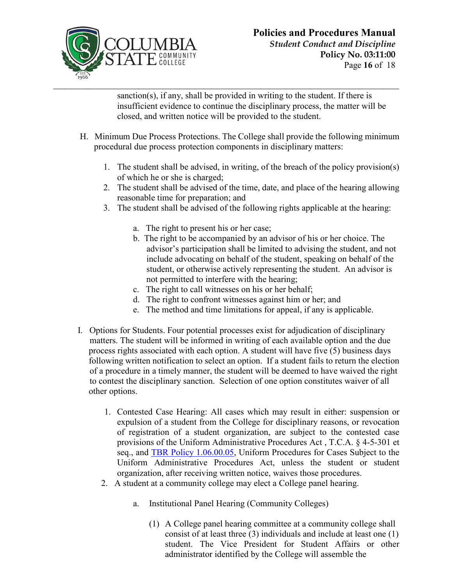

sanction(s), if any, shall be provided in writing to the student. If there is insufficient evidence to continue the disciplinary process, the matter will be closed, and written notice will be provided to the student.

- H. Minimum Due Process Protections. The College shall provide the following minimum procedural due process protection components in disciplinary matters:
	- 1. The student shall be advised, in writing, of the breach of the policy provision(s) of which he or she is charged;
	- 2. The student shall be advised of the time, date, and place of the hearing allowing reasonable time for preparation; and
	- 3. The student shall be advised of the following rights applicable at the hearing:
		- a. The right to present his or her case;
		- b. The right to be accompanied by an advisor of his or her choice. The advisor's participation shall be limited to advising the student, and not include advocating on behalf of the student, speaking on behalf of the student, or otherwise actively representing the student. An advisor is not permitted to interfere with the hearing;
		- c. The right to call witnesses on his or her behalf;
		- d. The right to confront witnesses against him or her; and
		- e. The method and time limitations for appeal, if any is applicable.
- I. Options for Students. Four potential processes exist for adjudication of disciplinary matters. The student will be informed in writing of each available option and the due process rights associated with each option. A student will have five (5) business days following written notification to select an option. If a student fails to return the election of a procedure in a timely manner, the student will be deemed to have waived the right to contest the disciplinary sanction. Selection of one option constitutes waiver of all other options.
	- 1. Contested Case Hearing: All cases which may result in either: suspension or expulsion of a student from the College for disciplinary reasons, or revocation of registration of a student organization, are subject to the contested case provisions of the Uniform Administrative Procedures Act , T.C.A. § 4-5-301 et seq., and **TBR Policy 1.06.00.05**, Uniform Procedures for Cases Subject to the Uniform Administrative Procedures Act, unless the student or student organization, after receiving written notice, waives those procedures.
	- 2. A student at a community college may elect a College panel hearing.
		- a. Institutional Panel Hearing (Community Colleges)
			- (1) A College panel hearing committee at a community college shall consist of at least three (3) individuals and include at least one (1) student. The Vice President for Student Affairs or other administrator identified by the College will assemble the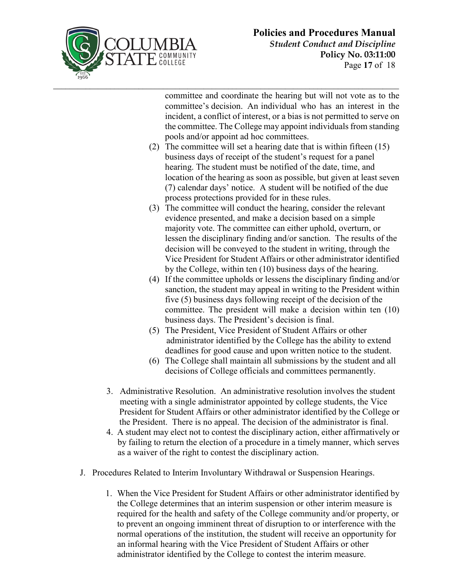

committee and coordinate the hearing but will not vote as to the committee's decision. An individual who has an interest in the incident, a conflict of interest, or a bias is not permitted to serve on the committee. The College may appoint individuals from standing pools and/or appoint ad hoc committees.

**\_\_\_\_\_\_\_\_\_\_\_\_\_\_\_\_\_\_\_\_\_\_\_\_\_\_\_\_\_\_\_\_\_\_\_\_\_\_\_\_\_\_\_\_\_\_\_\_\_\_\_\_\_\_\_\_\_\_\_\_\_\_\_\_\_\_\_\_\_\_\_\_\_\_\_\_\_\_\_\_\_\_\_\_\_**

- (2) The committee will set a hearing date that is within fifteen (15) business days of receipt of the student's request for a panel hearing. The student must be notified of the date, time, and location of the hearing as soon as possible, but given at least seven (7) calendar days' notice. A student will be notified of the due process protections provided for in these rules.
- (3) The committee will conduct the hearing, consider the relevant evidence presented, and make a decision based on a simple majority vote. The committee can either uphold, overturn, or lessen the disciplinary finding and/or sanction. The results of the decision will be conveyed to the student in writing, through the Vice President for Student Affairs or other administrator identified by the College, within ten (10) business days of the hearing.
- (4) If the committee upholds or lessens the disciplinary finding and/or sanction, the student may appeal in writing to the President within five (5) business days following receipt of the decision of the committee. The president will make a decision within ten (10) business days. The President's decision is final.
- (5) The President, Vice President of Student Affairs or other administrator identified by the College has the ability to extend deadlines for good cause and upon written notice to the student.
- (6) The College shall maintain all submissions by the student and all decisions of College officials and committees permanently.
- 3. Administrative Resolution. An administrative resolution involves the student meeting with a single administrator appointed by college students, the Vice President for Student Affairs or other administrator identified by the College or the President. There is no appeal. The decision of the administrator is final.
- 4. A student may elect not to contest the disciplinary action, either affirmatively or by failing to return the election of a procedure in a timely manner, which serves as a waiver of the right to contest the disciplinary action.
- J. Procedures Related to Interim Involuntary Withdrawal or Suspension Hearings.
	- 1. When the Vice President for Student Affairs or other administrator identified by the College determines that an interim suspension or other interim measure is required for the health and safety of the College community and/or property, or to prevent an ongoing imminent threat of disruption to or interference with the normal operations of the institution, the student will receive an opportunity for an informal hearing with the Vice President of Student Affairs or other administrator identified by the College to contest the interim measure.